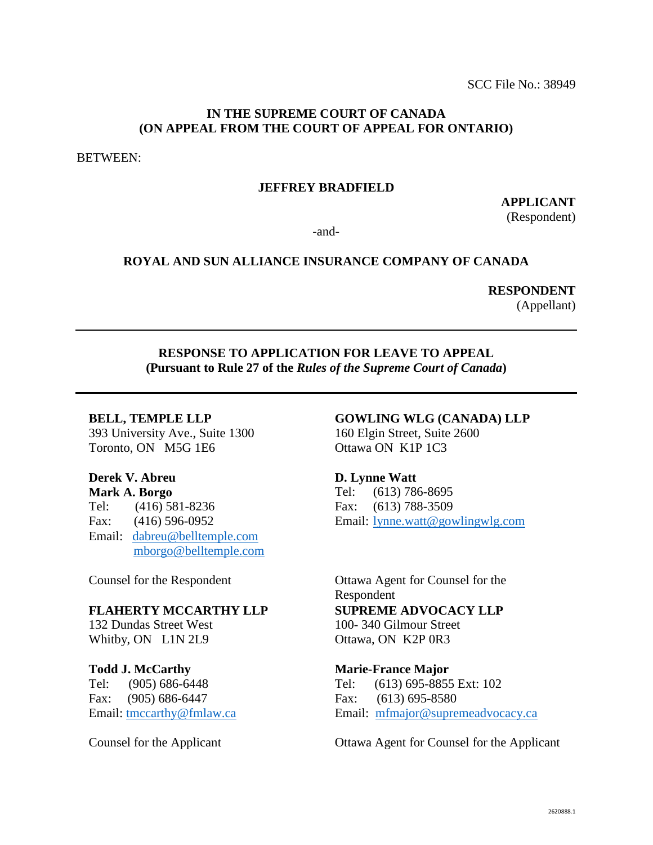## **IN THE SUPREME COURT OF CANADA (ON APPEAL FROM THE COURT OF APPEAL FOR ONTARIO)**

BETWEEN:

## **JEFFREY BRADFIELD**

**APPLICANT** (Respondent)

-and-

### **ROYAL AND SUN ALLIANCE INSURANCE COMPANY OF CANADA**

# **RESPONDENT**

(Appellant)

## **RESPONSE TO APPLICATION FOR LEAVE TO APPEAL (Pursuant to Rule 27 of the** *Rules of the Supreme Court of Canada***)**

#### **BELL, TEMPLE LLP**

393 University Ave., Suite 1300 Toronto, ON M5G 1E6

# **Derek V. Abreu**

**Mark A. Borgo** Tel: (416) 581-8236 Fax: (416) 596-0952 Email: [dabreu@belltemple.com](mailto:dabreu@belltemple.com) [mborgo@belltemple.com](mailto:mborgo@belltemple.com)

Counsel for the Respondent

#### **FLAHERTY MCCARTHY LLP**

132 Dundas Street West Whitby, ON L1N 2L9

#### **Todd J. McCarthy**

Tel: (905) 686-6448 Fax: (905) 686-6447 Email: [tmccarthy@fmlaw.ca](mailto:tmccarthy@fmlaw.ca)

Counsel for the Applicant

## **GOWLING WLG (CANADA) LLP**

160 Elgin Street, Suite 2600 Ottawa ON K1P 1C3

#### **D. Lynne Watt**

Tel: (613) 786-8695 Fax: (613) 788-3509 Email: [lynne.watt@gowlingwlg.com](mailto:lynne.watt@gowlingwlg.com) 

Ottawa Agent for Counsel for the Respondent **SUPREME ADVOCACY LLP** 100- 340 Gilmour Street Ottawa, ON K2P 0R3

#### **Marie-France Major**

Tel: (613) 695-8855 Ext: 102 Fax: (613) 695-8580 Email: [mfmajor@supremeadvocacy.ca](mailto:mfmajor@supremeadvocacy.ca)

Ottawa Agent for Counsel for the Applicant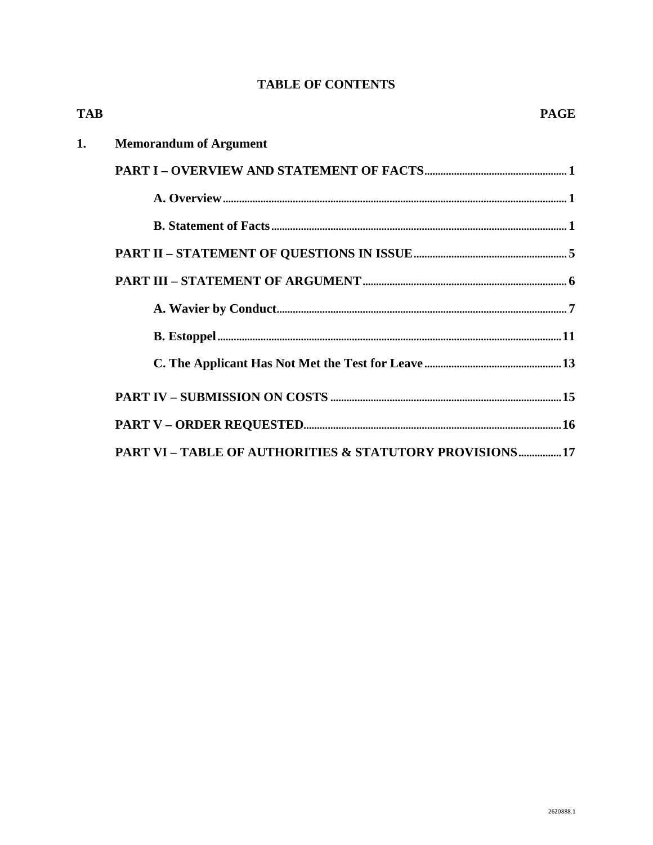# **TABLE OF CONTENTS**

| <b>TAB</b> | <b>PAGE</b>                                             |
|------------|---------------------------------------------------------|
| 1.         | <b>Memorandum of Argument</b>                           |
|            |                                                         |
|            |                                                         |
|            |                                                         |
|            |                                                         |
|            |                                                         |
|            |                                                         |
|            |                                                         |
|            |                                                         |
|            |                                                         |
|            |                                                         |
|            | PART VI - TABLE OF AUTHORITIES & STATUTORY PROVISIONS17 |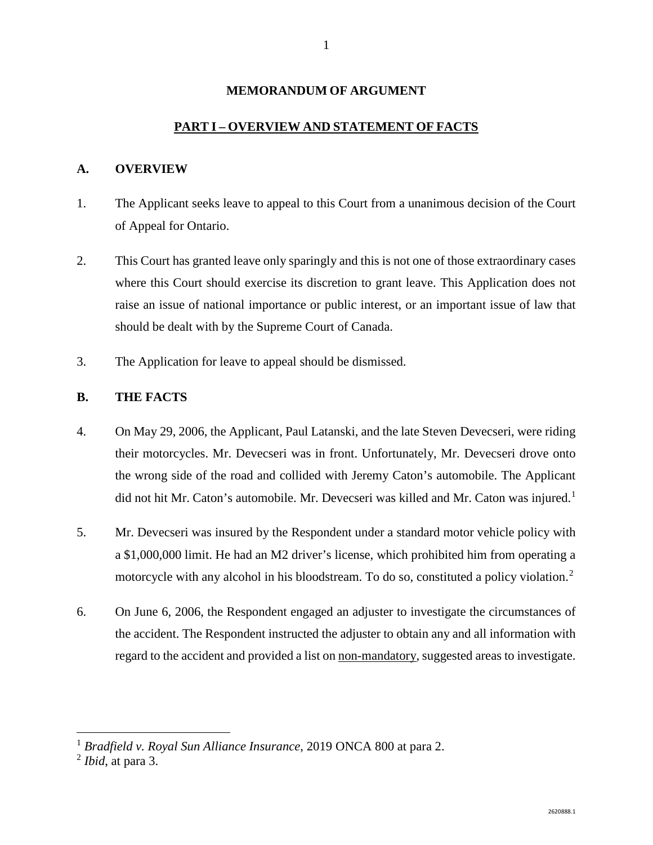#### **MEMORANDUM OF ARGUMENT**

#### **PART I – OVERVIEW AND STATEMENT OF FACTS**

#### **A. OVERVIEW**

- 1. The Applicant seeks leave to appeal to this Court from a unanimous decision of the Court of Appeal for Ontario.
- 2. This Court has granted leave only sparingly and this is not one of those extraordinary cases where this Court should exercise its discretion to grant leave. This Application does not raise an issue of national importance or public interest, or an important issue of law that should be dealt with by the Supreme Court of Canada.
- 3. The Application for leave to appeal should be dismissed.

## **B. THE FACTS**

- 4. On May 29, 2006, the Applicant, Paul Latanski, and the late Steven Devecseri, were riding their motorcycles. Mr. Devecseri was in front. Unfortunately, Mr. Devecseri drove onto the wrong side of the road and collided with Jeremy Caton's automobile. The Applicant did not hit Mr. Caton's automobile. Mr. Devecseri was killed and Mr. Caton was injured.<sup>[1](#page-2-0)</sup>
- 5. Mr. Devecseri was insured by the Respondent under a standard motor vehicle policy with a \$1,000,000 limit. He had an M2 driver's license, which prohibited him from operating a motorcycle with any alcohol in his bloodstream. To do so, constituted a policy violation.<sup>[2](#page-2-1)</sup>
- 6. On June 6, 2006, the Respondent engaged an adjuster to investigate the circumstances of the accident. The Respondent instructed the adjuster to obtain any and all information with regard to the accident and provided a list on non-mandatory, suggested areas to investigate.

<span id="page-2-0"></span><sup>&</sup>lt;sup>1</sup> *Bradfield v. Royal Sun Alliance Insurance*, 2019 ONCA 800 at para 2.<br><sup>2</sup> *Ibid*, at para 3.

<span id="page-2-1"></span>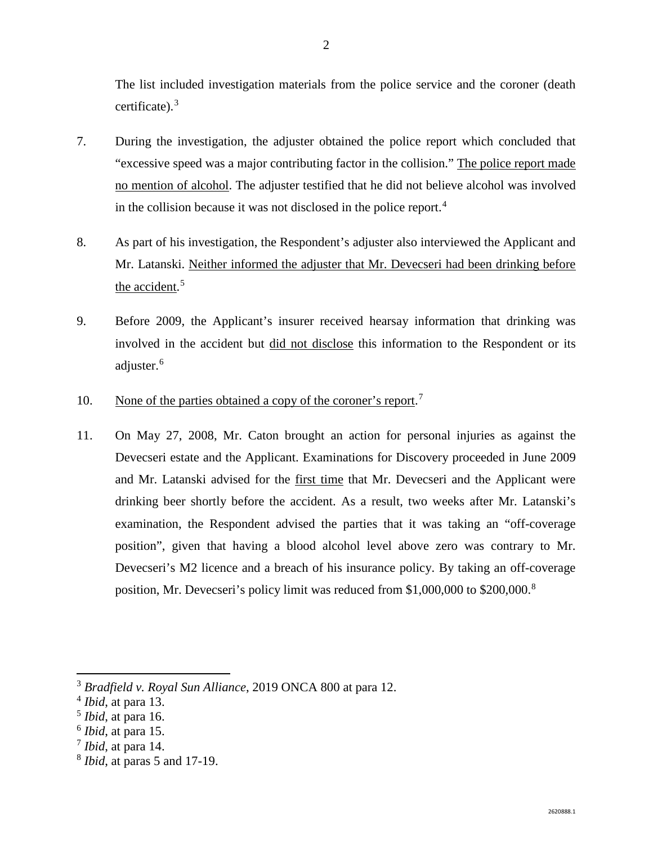The list included investigation materials from the police service and the coroner (death certificate). [3](#page-3-0)

- 7. During the investigation, the adjuster obtained the police report which concluded that "excessive speed was a major contributing factor in the collision." The police report made no mention of alcohol. The adjuster testified that he did not believe alcohol was involved in the collision because it was not disclosed in the police report.<sup>[4](#page-3-1)</sup>
- 8. As part of his investigation, the Respondent's adjuster also interviewed the Applicant and Mr. Latanski. Neither informed the adjuster that Mr. Devecseri had been drinking before the accident.<sup>[5](#page-3-2)</sup>
- 9. Before 2009, the Applicant's insurer received hearsay information that drinking was involved in the accident but did not disclose this information to the Respondent or its adjuster.<sup>[6](#page-3-3)</sup>
- 10. None of the parties obtained a copy of the coroner's report.<sup>[7](#page-3-4)</sup>
- 11. On May 27, 2008, Mr. Caton brought an action for personal injuries as against the Devecseri estate and the Applicant. Examinations for Discovery proceeded in June 2009 and Mr. Latanski advised for the first time that Mr. Devecseri and the Applicant were drinking beer shortly before the accident. As a result, two weeks after Mr. Latanski's examination, the Respondent advised the parties that it was taking an "off-coverage position", given that having a blood alcohol level above zero was contrary to Mr. Devecseri's M2 licence and a breach of his insurance policy. By taking an off-coverage position, Mr. Devecseri's policy limit was reduced from \$1,000,000 to \$200,000.[8](#page-3-5)

<span id="page-3-0"></span> <sup>3</sup> *Bradfield v. Royal Sun Alliance*, 2019 ONCA 800 at para 12.

<span id="page-3-1"></span><sup>4</sup> *Ibid*, at para 13.

<span id="page-3-2"></span><sup>5</sup> *Ibid*, at para 16.

<span id="page-3-3"></span><sup>6</sup> *Ibid*, at para 15.

<span id="page-3-4"></span><sup>7</sup> *Ibid*, at para 14.

<span id="page-3-5"></span><sup>8</sup> *Ibid*, at paras 5 and 17-19.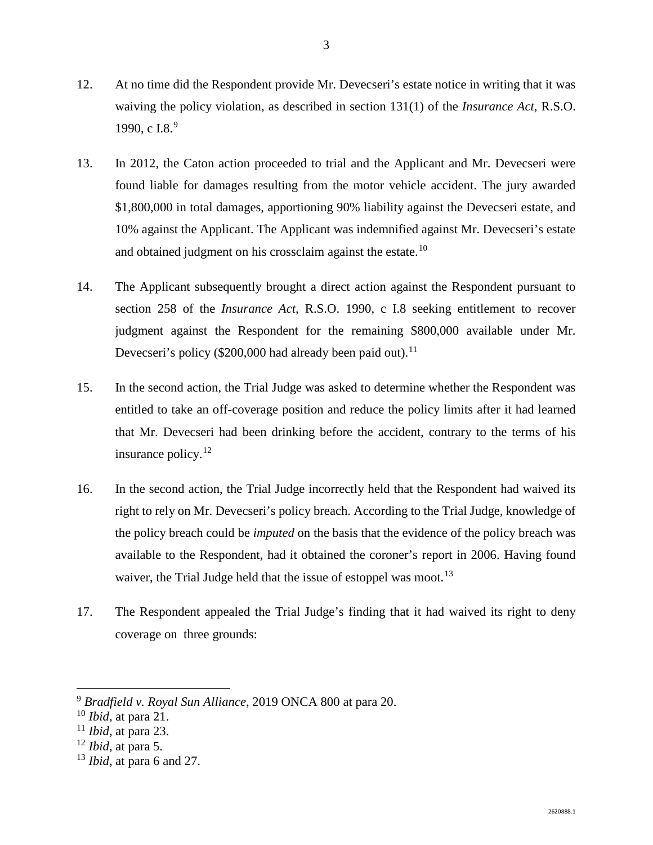- 12. At no time did the Respondent provide Mr. Devecseri's estate notice in writing that it was waiving the policy violation, as described in section 131(1) of the *Insurance Act*, R.S.O. 1[9](#page-4-0)90, c I.8. $9$
- 13. In 2012, the Caton action proceeded to trial and the Applicant and Mr. Devecseri were found liable for damages resulting from the motor vehicle accident. The jury awarded \$1,800,000 in total damages, apportioning 90% liability against the Devecseri estate, and 10% against the Applicant. The Applicant was indemnified against Mr. Devecseri's estate and obtained judgment on his crossclaim against the estate.<sup>[10](#page-4-1)</sup>
- 14. The Applicant subsequently brought a direct action against the Respondent pursuant to section 258 of the *Insurance Act*, R.S.O. 1990, c I.8 seeking entitlement to recover judgment against the Respondent for the remaining \$800,000 available under Mr. Devecseri's policy (\$200,000 had already been paid out).<sup>[11](#page-4-2)</sup>
- 15. In the second action, the Trial Judge was asked to determine whether the Respondent was entitled to take an off-coverage position and reduce the policy limits after it had learned that Mr. Devecseri had been drinking before the accident, contrary to the terms of his insurance policy. $12$
- 16. In the second action, the Trial Judge incorrectly held that the Respondent had waived its right to rely on Mr. Devecseri's policy breach. According to the Trial Judge, knowledge of the policy breach could be *imputed* on the basis that the evidence of the policy breach was available to the Respondent, had it obtained the coroner's report in 2006. Having found waiver, the Trial Judge held that the issue of estoppel was moot.<sup>[13](#page-4-4)</sup>
- 17. The Respondent appealed the Trial Judge's finding that it had waived its right to deny coverage on three grounds:

<span id="page-4-1"></span><span id="page-4-0"></span> <sup>9</sup> *Bradfield v. Royal Sun Alliance*, 2019 ONCA 800 at para 20.

<sup>10</sup> *Ibid,* at para 21.

<span id="page-4-2"></span><sup>11</sup> *Ibid*, at para 23.

<span id="page-4-3"></span><sup>12</sup> *Ibid*, at para 5.

<span id="page-4-4"></span><sup>13</sup> *Ibid*, at para 6 and 27.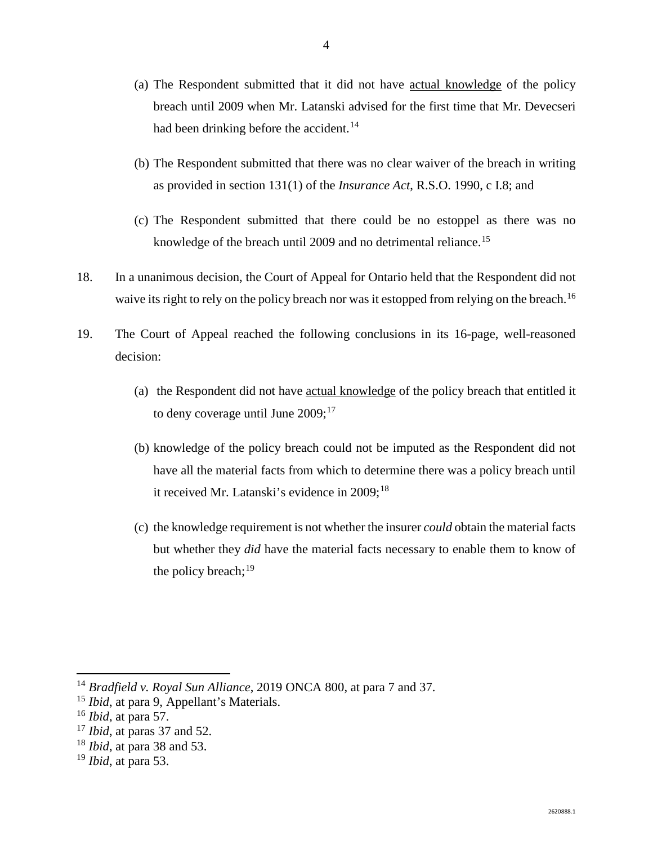- (a) The Respondent submitted that it did not have actual knowledge of the policy breach until 2009 when Mr. Latanski advised for the first time that Mr. Devecseri had been drinking before the accident.<sup>[14](#page-5-0)</sup>
- (b) The Respondent submitted that there was no clear waiver of the breach in writing as provided in section 131(1) of the *Insurance Act*, R.S.O. 1990, c I.8; and
- (c) The Respondent submitted that there could be no estoppel as there was no knowledge of the breach until 2009 and no detrimental reliance.<sup>[15](#page-5-1)</sup>
- 18. In a unanimous decision, the Court of Appeal for Ontario held that the Respondent did not waive its right to rely on the policy breach nor was it estopped from relying on the breach.<sup>[16](#page-5-2)</sup>
- 19. The Court of Appeal reached the following conclusions in its 16-page, well-reasoned decision:
	- (a) the Respondent did not have actual knowledge of the policy breach that entitled it to deny coverage until June  $2009$ ;<sup>[17](#page-5-3)</sup>
	- (b) knowledge of the policy breach could not be imputed as the Respondent did not have all the material facts from which to determine there was a policy breach until it received Mr. Latanski's evidence in 2009; [18](#page-5-4)
	- (c) the knowledge requirement is not whether the insurer *could* obtain the material facts but whether they *did* have the material facts necessary to enable them to know of the policy breach; $^{19}$  $^{19}$  $^{19}$

<span id="page-5-0"></span> <sup>14</sup> *Bradfield v. Royal Sun Alliance*, 2019 ONCA 800, at para 7 and 37.

<span id="page-5-1"></span><sup>15</sup> *Ibid*, at para 9, Appellant's Materials.

<span id="page-5-2"></span><sup>16</sup> *Ibid*, at para 57.

<span id="page-5-3"></span><sup>17</sup> *Ibid*, at paras 37 and 52.

<span id="page-5-4"></span><sup>18</sup> *Ibid*, at para 38 and 53.

<span id="page-5-5"></span><sup>19</sup> *Ibid*, at para 53.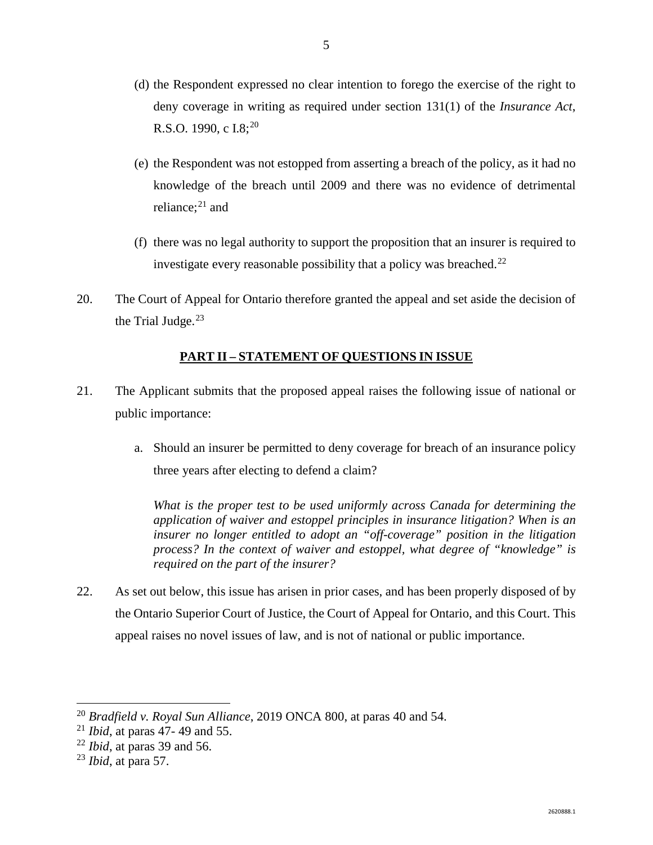- (d) the Respondent expressed no clear intention to forego the exercise of the right to deny coverage in writing as required under section 131(1) of the *Insurance Act*, R.S.O. 1990, c I.8;<sup>[20](#page-6-0)</sup>
- (e) the Respondent was not estopped from asserting a breach of the policy, as it had no knowledge of the breach until 2009 and there was no evidence of detrimental reliance; [21](#page-6-1) and
- (f) there was no legal authority to support the proposition that an insurer is required to investigate every reasonable possibility that a policy was breached. $^{22}$  $^{22}$  $^{22}$
- 20. The Court of Appeal for Ontario therefore granted the appeal and set aside the decision of the Trial Judge. $23$

# **PART II – STATEMENT OF QUESTIONS IN ISSUE**

- 21. The Applicant submits that the proposed appeal raises the following issue of national or public importance:
	- a. Should an insurer be permitted to deny coverage for breach of an insurance policy three years after electing to defend a claim?

*What is the proper test to be used uniformly across Canada for determining the application of waiver and estoppel principles in insurance litigation? When is an insurer no longer entitled to adopt an "off-coverage" position in the litigation process? In the context of waiver and estoppel, what degree of "knowledge" is required on the part of the insurer?*

22. As set out below, this issue has arisen in prior cases, and has been properly disposed of by the Ontario Superior Court of Justice, the Court of Appeal for Ontario, and this Court. This appeal raises no novel issues of law, and is not of national or public importance.

<span id="page-6-0"></span> <sup>20</sup> *Bradfield v. Royal Sun Alliance*, 2019 ONCA 800, at paras 40 and 54.

<span id="page-6-1"></span><sup>21</sup> *Ibid*, at paras 47- 49 and 55.

<span id="page-6-2"></span><sup>22</sup> *Ibid*, at paras 39 and 56.

<span id="page-6-3"></span><sup>23</sup> *Ibid*, at para 57.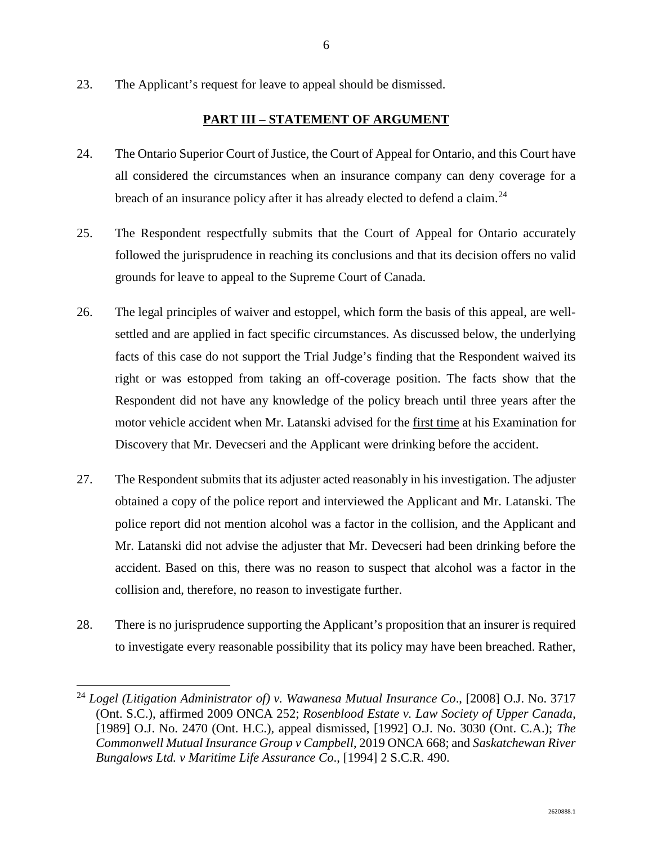23. The Applicant's request for leave to appeal should be dismissed.

# **PART III – STATEMENT OF ARGUMENT**

- 24. The Ontario Superior Court of Justice, the Court of Appeal for Ontario, and this Court have all considered the circumstances when an insurance company can deny coverage for a breach of an insurance policy after it has already elected to defend a claim.<sup>[24](#page-7-0)</sup>
- 25. The Respondent respectfully submits that the Court of Appeal for Ontario accurately followed the jurisprudence in reaching its conclusions and that its decision offers no valid grounds for leave to appeal to the Supreme Court of Canada.
- 26. The legal principles of waiver and estoppel, which form the basis of this appeal, are wellsettled and are applied in fact specific circumstances. As discussed below, the underlying facts of this case do not support the Trial Judge's finding that the Respondent waived its right or was estopped from taking an off-coverage position. The facts show that the Respondent did not have any knowledge of the policy breach until three years after the motor vehicle accident when Mr. Latanski advised for the first time at his Examination for Discovery that Mr. Devecseri and the Applicant were drinking before the accident.
- 27. The Respondent submits that its adjuster acted reasonably in his investigation. The adjuster obtained a copy of the police report and interviewed the Applicant and Mr. Latanski. The police report did not mention alcohol was a factor in the collision, and the Applicant and Mr. Latanski did not advise the adjuster that Mr. Devecseri had been drinking before the accident. Based on this, there was no reason to suspect that alcohol was a factor in the collision and, therefore, no reason to investigate further.
- 28. There is no jurisprudence supporting the Applicant's proposition that an insurer is required to investigate every reasonable possibility that its policy may have been breached. Rather,

<span id="page-7-0"></span> <sup>24</sup> *Logel (Litigation Administrator of) v. Wawanesa Mutual Insurance Co*., [2008] O.J. No. 3717 (Ont. S.C.), affirmed 2009 ONCA 252; *Rosenblood Estate v. Law Society of Upper Canada*, [1989] O.J. No. 2470 (Ont. H.C.), appeal dismissed, [1992] O.J. No. 3030 (Ont. C.A.); *The Commonwell Mutual Insurance Group v Campbell*, 2019 ONCA 668; and *Saskatchewan River Bungalows Ltd. v Maritime Life Assurance Co*., [1994] 2 S.C.R. 490.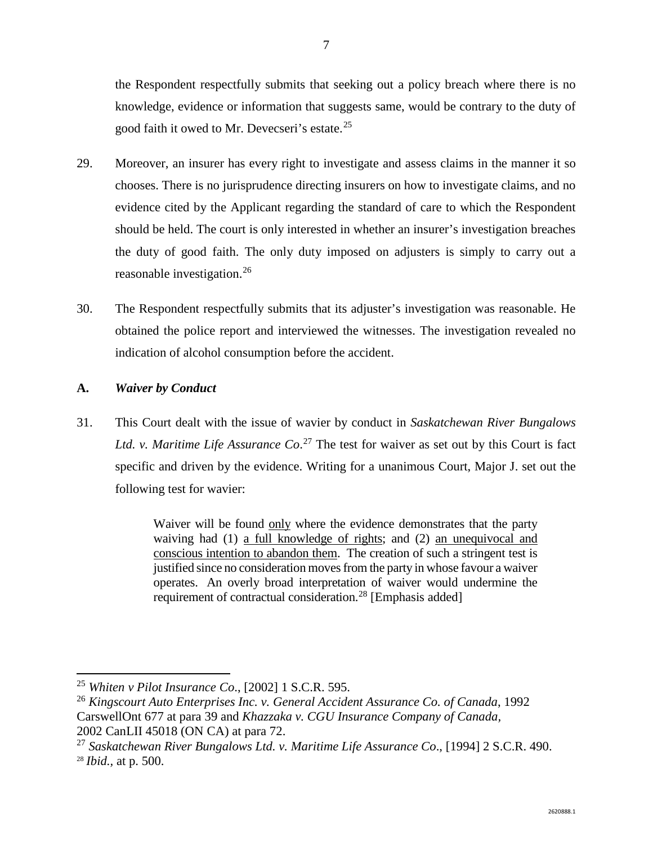the Respondent respectfully submits that seeking out a policy breach where there is no knowledge, evidence or information that suggests same, would be contrary to the duty of good faith it owed to Mr. Devecseri's estate.<sup>[25](#page-8-0)</sup>

- 29. Moreover, an insurer has every right to investigate and assess claims in the manner it so chooses. There is no jurisprudence directing insurers on how to investigate claims, and no evidence cited by the Applicant regarding the standard of care to which the Respondent should be held. The court is only interested in whether an insurer's investigation breaches the duty of good faith. The only duty imposed on adjusters is simply to carry out a reasonable investigation.[26](#page-8-1)
- 30. The Respondent respectfully submits that its adjuster's investigation was reasonable. He obtained the police report and interviewed the witnesses. The investigation revealed no indication of alcohol consumption before the accident.

## **A.** *Waiver by Conduct*

31. This Court dealt with the issue of wavier by conduct in *Saskatchewan River Bungalows Ltd. v. Maritime Life Assurance Co*. [27](#page-8-2) The test for waiver as set out by this Court is fact specific and driven by the evidence. Writing for a unanimous Court, Major J. set out the following test for wavier:

> Waiver will be found only where the evidence demonstrates that the party waiving had (1) a full knowledge of rights; and (2) an unequivocal and conscious intention to abandon them. The creation of such a stringent test is justified since no consideration moves from the party in whose favour a waiver operates. An overly broad interpretation of waiver would undermine the requirement of contractual consideration.<sup>[28](#page-8-3)</sup> [Emphasis added]

<span id="page-8-0"></span> <sup>25</sup> *Whiten v Pilot Insurance Co*., [2002] 1 S.C.R. 595.

<span id="page-8-1"></span><sup>26</sup> *Kingscourt Auto Enterprises Inc. v. General Accident Assurance Co. of Canada*, 1992 CarswellOnt 677 at para 39 and *Khazzaka v. CGU Insurance Company of Canada,*  2002 CanLII 45018 (ON CA) at para 72.

<span id="page-8-3"></span><span id="page-8-2"></span><sup>27</sup> *Saskatchewan River Bungalows Ltd. v. Maritime Life Assurance Co*., [1994] 2 S.C.R. 490. <sup>28</sup> *Ibid.,* at p. 500.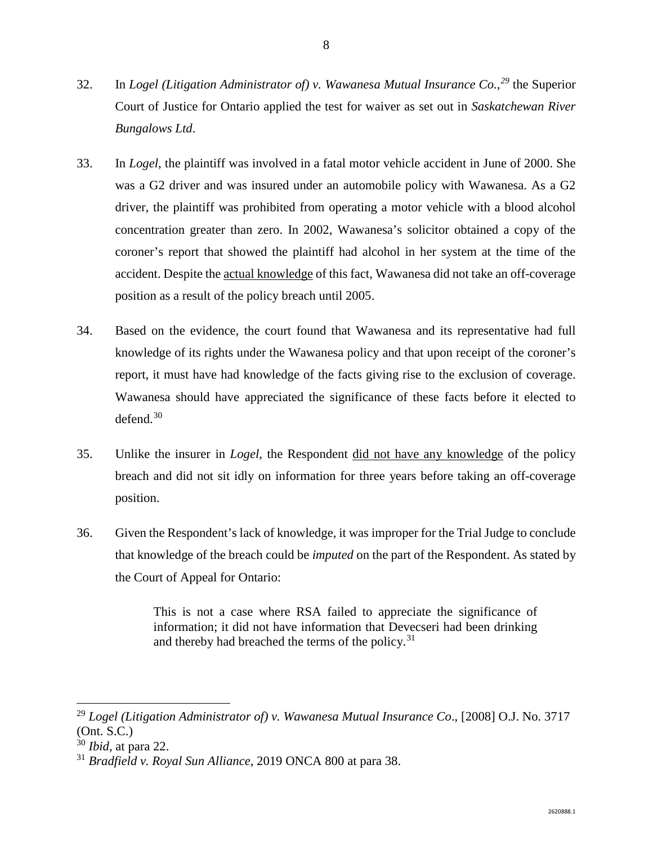- 32. In *Logel (Litigation Administrator of) v. Wawanesa Mutual Insurance Co., [29](#page-9-0)* the Superior Court of Justice for Ontario applied the test for waiver as set out in *Saskatchewan River Bungalows Ltd*.
- 33. In *Logel*, the plaintiff was involved in a fatal motor vehicle accident in June of 2000. She was a G2 driver and was insured under an automobile policy with Wawanesa. As a G2 driver, the plaintiff was prohibited from operating a motor vehicle with a blood alcohol concentration greater than zero. In 2002, Wawanesa's solicitor obtained a copy of the coroner's report that showed the plaintiff had alcohol in her system at the time of the accident. Despite the actual knowledge of this fact, Wawanesa did not take an off-coverage position as a result of the policy breach until 2005.
- 34. Based on the evidence, the court found that Wawanesa and its representative had full knowledge of its rights under the Wawanesa policy and that upon receipt of the coroner's report, it must have had knowledge of the facts giving rise to the exclusion of coverage. Wawanesa should have appreciated the significance of these facts before it elected to defend. [30](#page-9-1)
- 35. Unlike the insurer in *Logel*, the Respondent did not have any knowledge of the policy breach and did not sit idly on information for three years before taking an off-coverage position.
- 36. Given the Respondent's lack of knowledge, it was improper for the Trial Judge to conclude that knowledge of the breach could be *imputed* on the part of the Respondent. As stated by the Court of Appeal for Ontario:

This is not a case where RSA failed to appreciate the significance of information; it did not have information that Devecseri had been drinking and thereby had breached the terms of the policy.<sup>[31](#page-9-2)</sup>

<span id="page-9-0"></span> <sup>29</sup> *Logel (Litigation Administrator of) v. Wawanesa Mutual Insurance Co*., [2008] O.J. No. 3717 (Ont. S.C.)

<span id="page-9-1"></span><sup>30</sup> *Ibid,* at para 22.

<span id="page-9-2"></span><sup>31</sup> *Bradfield v. Royal Sun Alliance*, 2019 ONCA 800 at para 38.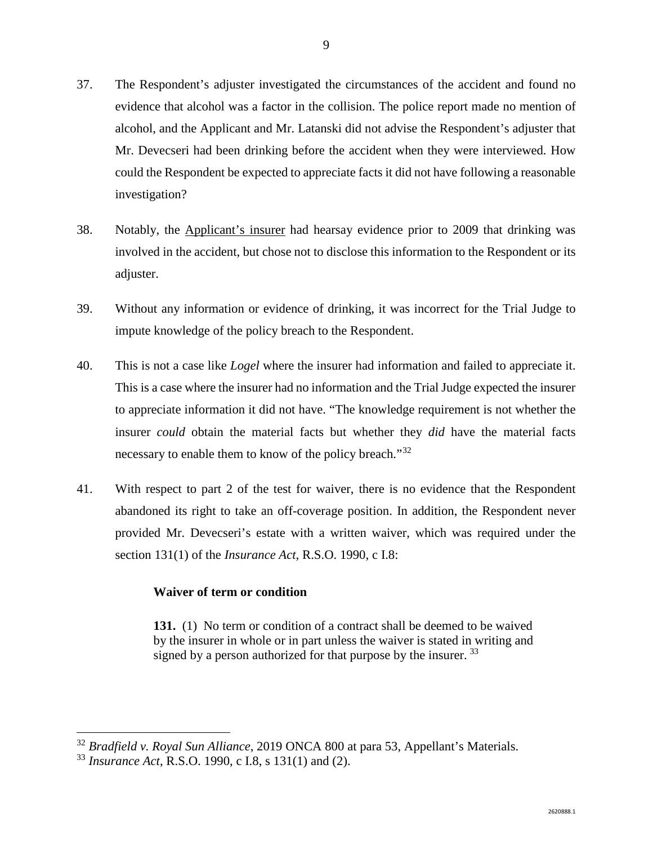- 37. The Respondent's adjuster investigated the circumstances of the accident and found no evidence that alcohol was a factor in the collision. The police report made no mention of alcohol, and the Applicant and Mr. Latanski did not advise the Respondent's adjuster that Mr. Devecseri had been drinking before the accident when they were interviewed. How could the Respondent be expected to appreciate facts it did not have following a reasonable investigation?
- 38. Notably, the Applicant's insurer had hearsay evidence prior to 2009 that drinking was involved in the accident, but chose not to disclose this information to the Respondent or its adjuster.
- 39. Without any information or evidence of drinking, it was incorrect for the Trial Judge to impute knowledge of the policy breach to the Respondent.
- 40. This is not a case like *Logel* where the insurer had information and failed to appreciate it. This is a case where the insurer had no information and the Trial Judge expected the insurer to appreciate information it did not have. "The knowledge requirement is not whether the insurer *could* obtain the material facts but whether they *did* have the material facts necessary to enable them to know of the policy breach."<sup>[32](#page-10-0)</sup>
- 41. With respect to part 2 of the test for waiver, there is no evidence that the Respondent abandoned its right to take an off-coverage position. In addition, the Respondent never provided Mr. Devecseri's estate with a written waiver, which was required under the section 131(1) of the *Insurance Act*, R.S.O. 1990, c I.8:

#### **Waiver of term or condition**

**131.** (1) No term or condition of a contract shall be deemed to be waived by the insurer in whole or in part unless the waiver is stated in writing and signed by a person authorized for that purpose by the insurer.  $33$ 

<span id="page-10-0"></span> <sup>32</sup> *Bradfield v. Royal Sun Alliance*, 2019 ONCA 800 at para 53, Appellant's Materials.

<span id="page-10-1"></span><sup>33</sup> *Insurance Act*, R.S.O. 1990, c I.8, s 131(1) and (2).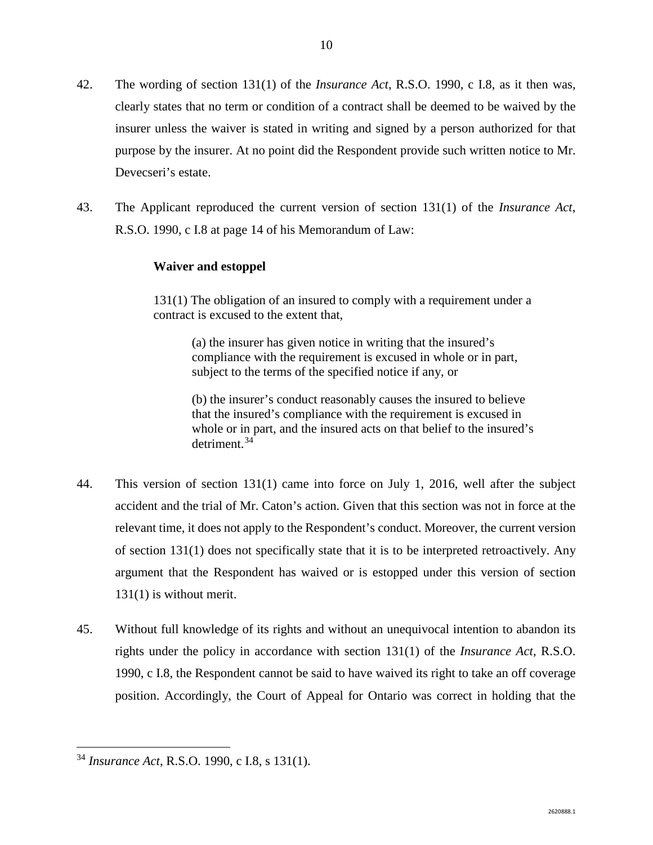- 42. The wording of section 131(1) of the *Insurance Act*, R.S.O. 1990, c I.8, as it then was, clearly states that no term or condition of a contract shall be deemed to be waived by the insurer unless the waiver is stated in writing and signed by a person authorized for that purpose by the insurer. At no point did the Respondent provide such written notice to Mr. Devecseri's estate.
- 43. The Applicant reproduced the current version of section 131(1) of the *Insurance Act*, R.S.O. 1990, c I.8 at page 14 of his Memorandum of Law:

#### **Waiver and estoppel**

131(1) The obligation of an insured to comply with a requirement under a contract is excused to the extent that,

> (a) the insurer has given notice in writing that the insured's compliance with the requirement is excused in whole or in part, subject to the terms of the specified notice if any, or

(b) the insurer's conduct reasonably causes the insured to believe that the insured's compliance with the requirement is excused in whole or in part, and the insured acts on that belief to the insured's detriment. [34](#page-11-0)

- 44. This version of section 131(1) came into force on July 1, 2016, well after the subject accident and the trial of Mr. Caton's action. Given that this section was not in force at the relevant time, it does not apply to the Respondent's conduct. Moreover, the current version of section 131(1) does not specifically state that it is to be interpreted retroactively. Any argument that the Respondent has waived or is estopped under this version of section 131(1) is without merit.
- 45. Without full knowledge of its rights and without an unequivocal intention to abandon its rights under the policy in accordance with section 131(1) of the *Insurance Act*, R.S.O. 1990, c I.8, the Respondent cannot be said to have waived its right to take an off coverage position. Accordingly, the Court of Appeal for Ontario was correct in holding that the

<span id="page-11-0"></span> <sup>34</sup> *Insurance Act*, R.S.O. 1990, c I.8, s 131(1).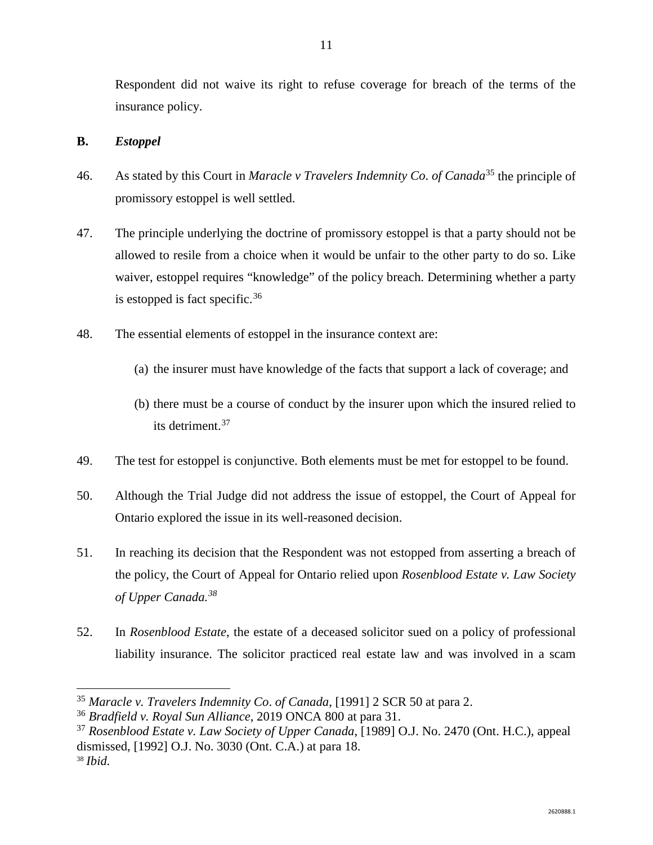Respondent did not waive its right to refuse coverage for breach of the terms of the insurance policy.

## **B.** *Estoppel*

- 46. As stated by this Court in *Maracle v Travelers Indemnity Co*. *of Canada*[35](#page-12-0) the principle of promissory estoppel is well settled.
- 47. The principle underlying the doctrine of promissory estoppel is that a party should not be allowed to resile from a choice when it would be unfair to the other party to do so. Like waiver, estoppel requires "knowledge" of the policy breach. Determining whether a party is estopped is fact specific.  $36$
- 48. The essential elements of estoppel in the insurance context are:
	- (a) the insurer must have knowledge of the facts that support a lack of coverage; and
	- (b) there must be a course of conduct by the insurer upon which the insured relied to its detriment. [37](#page-12-2)
- 49. The test for estoppel is conjunctive. Both elements must be met for estoppel to be found.
- 50. Although the Trial Judge did not address the issue of estoppel, the Court of Appeal for Ontario explored the issue in its well-reasoned decision.
- 51. In reaching its decision that the Respondent was not estopped from asserting a breach of the policy, the Court of Appeal for Ontario relied upon *Rosenblood Estate v. Law Society of Upper Canada.[38](#page-12-3)*
- 52. In *Rosenblood Estate*, the estate of a deceased solicitor sued on a policy of professional liability insurance. The solicitor practiced real estate law and was involved in a scam

<span id="page-12-0"></span> <sup>35</sup> *Maracle v. Travelers Indemnity Co*. *of Canada*, [1991] 2 SCR 50 at para 2.

<span id="page-12-1"></span><sup>36</sup> *Bradfield v. Royal Sun Alliance*, 2019 ONCA 800 at para 31.

<span id="page-12-3"></span><span id="page-12-2"></span><sup>37</sup> *Rosenblood Estate v. Law Society of Upper Canada*, [1989] O.J. No. 2470 (Ont. H.C.), appeal dismissed, [1992] O.J. No. 3030 (Ont. C.A.) at para 18. <sup>38</sup> *Ibid.*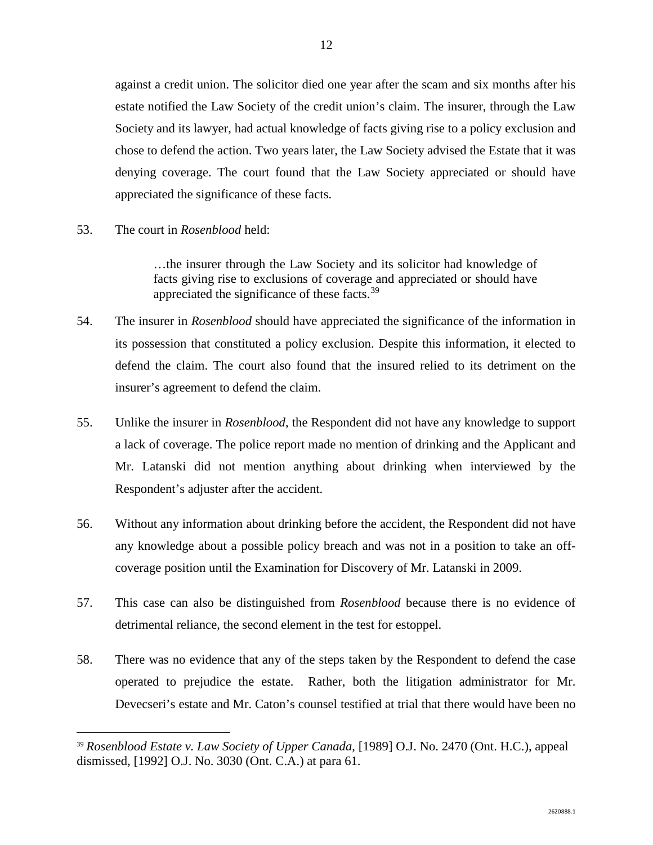against a credit union. The solicitor died one year after the scam and six months after his estate notified the Law Society of the credit union's claim. The insurer, through the Law Society and its lawyer, had actual knowledge of facts giving rise to a policy exclusion and chose to defend the action. Two years later, the Law Society advised the Estate that it was denying coverage. The court found that the Law Society appreciated or should have appreciated the significance of these facts.

53. The court in *Rosenblood* held:

…the insurer through the Law Society and its solicitor had knowledge of facts giving rise to exclusions of coverage and appreciated or should have appreciated the significance of these facts.[39](#page-13-0)

- 54. The insurer in *Rosenblood* should have appreciated the significance of the information in its possession that constituted a policy exclusion. Despite this information, it elected to defend the claim. The court also found that the insured relied to its detriment on the insurer's agreement to defend the claim.
- 55. Unlike the insurer in *Rosenblood*, the Respondent did not have any knowledge to support a lack of coverage. The police report made no mention of drinking and the Applicant and Mr. Latanski did not mention anything about drinking when interviewed by the Respondent's adjuster after the accident.
- 56. Without any information about drinking before the accident, the Respondent did not have any knowledge about a possible policy breach and was not in a position to take an offcoverage position until the Examination for Discovery of Mr. Latanski in 2009.
- 57. This case can also be distinguished from *Rosenblood* because there is no evidence of detrimental reliance, the second element in the test for estoppel.
- 58. There was no evidence that any of the steps taken by the Respondent to defend the case operated to prejudice the estate. Rather, both the litigation administrator for Mr. Devecseri's estate and Mr. Caton's counsel testified at trial that there would have been no

<span id="page-13-0"></span> <sup>39</sup> *Rosenblood Estate v. Law Society of Upper Canada*, [1989] O.J. No. 2470 (Ont. H.C.), appeal dismissed, [1992] O.J. No. 3030 (Ont. C.A.) at para 61.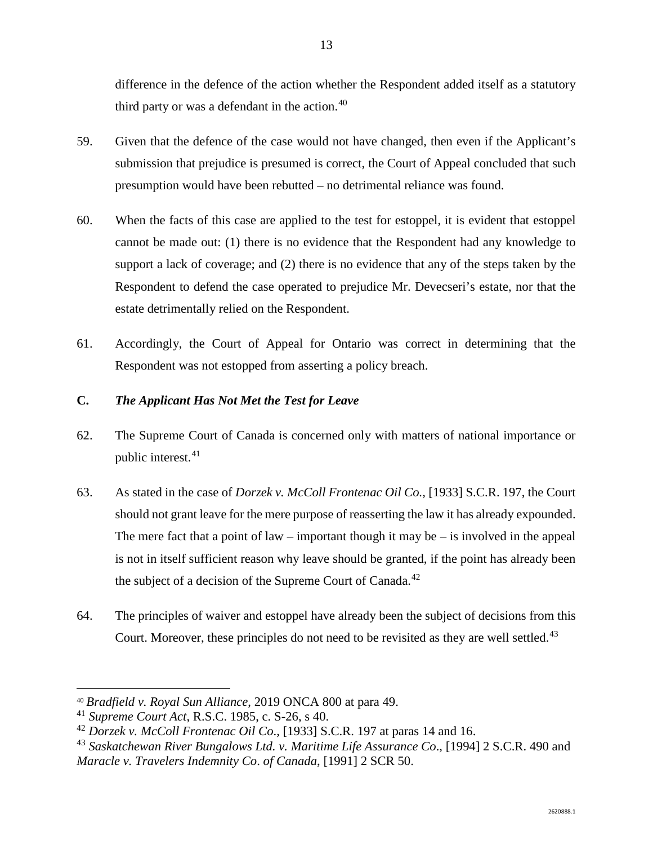difference in the defence of the action whether the Respondent added itself as a statutory third party or was a defendant in the action. $40$ 

- 59. Given that the defence of the case would not have changed, then even if the Applicant's submission that prejudice is presumed is correct, the Court of Appeal concluded that such presumption would have been rebutted – no detrimental reliance was found.
- 60. When the facts of this case are applied to the test for estoppel, it is evident that estoppel cannot be made out: (1) there is no evidence that the Respondent had any knowledge to support a lack of coverage; and (2) there is no evidence that any of the steps taken by the Respondent to defend the case operated to prejudice Mr. Devecseri's estate, nor that the estate detrimentally relied on the Respondent.
- 61. Accordingly, the Court of Appeal for Ontario was correct in determining that the Respondent was not estopped from asserting a policy breach.

# **C.** *The Applicant Has Not Met the Test for Leave*

- 62. The Supreme Court of Canada is concerned only with matters of national importance or public interest.<sup>[41](#page-14-1)</sup>
- 63. As stated in the case of *Dorzek v. McColl Frontenac Oil Co.,* [1933] S.C.R. 197, the Court should not grant leave for the mere purpose of reasserting the law it has already expounded. The mere fact that a point of law – important though it may be – is involved in the appeal is not in itself sufficient reason why leave should be granted, if the point has already been the subject of a decision of the Supreme Court of Canada.<sup>[42](#page-14-2)</sup>
- 64. The principles of waiver and estoppel have already been the subject of decisions from this Court. Moreover, these principles do not need to be revisited as they are well settled.<sup>[43](#page-14-3)</sup>

<span id="page-14-0"></span> <sup>40</sup> *Bradfield v. Royal Sun Alliance*, 2019 ONCA 800 at para 49.

<span id="page-14-1"></span><sup>41</sup> *Supreme Court Act*, R.S.C. 1985, c. S-26, s 40.

<span id="page-14-2"></span><sup>42</sup> *Dorzek v. McColl Frontenac Oil Co*., [1933] S.C.R. 197 at paras 14 and 16.

<span id="page-14-3"></span><sup>43</sup> *Saskatchewan River Bungalows Ltd. v. Maritime Life Assurance Co*., [1994] 2 S.C.R. 490 and *Maracle v. Travelers Indemnity Co*. *of Canada*, [1991] 2 SCR 50.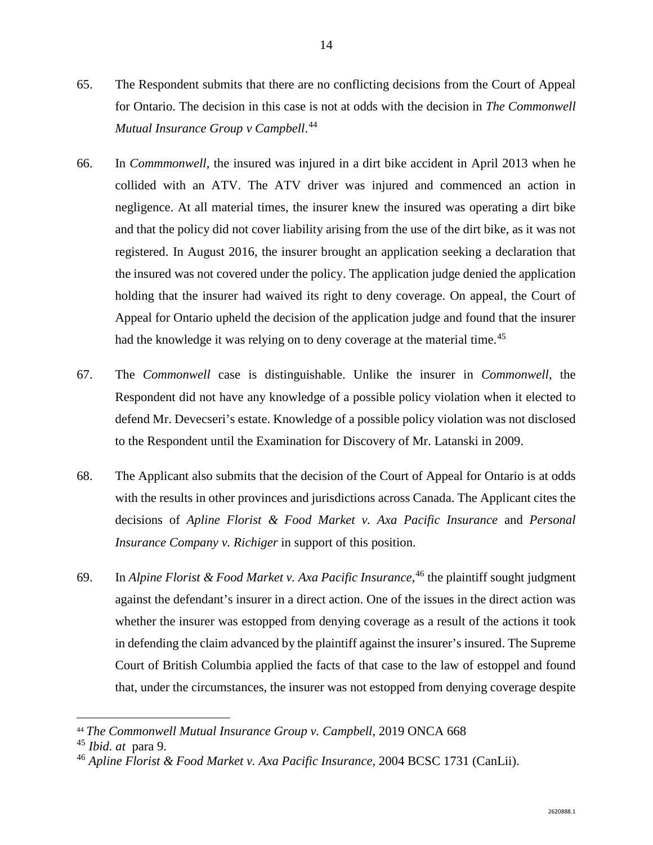- 65. The Respondent submits that there are no conflicting decisions from the Court of Appeal for Ontario. The decision in this case is not at odds with the decision in *The Commonwell Mutual Insurance Group v Campbell*. [44](#page-15-0)
- 66. In *Commmonwell*, the insured was injured in a dirt bike accident in April 2013 when he collided with an ATV. The ATV driver was injured and commenced an action in negligence. At all material times, the insurer knew the insured was operating a dirt bike and that the policy did not cover liability arising from the use of the dirt bike, as it was not registered. In August 2016, the insurer brought an application seeking a declaration that the insured was not covered under the policy. The application judge denied the application holding that the insurer had waived its right to deny coverage. On appeal, the Court of Appeal for Ontario upheld the decision of the application judge and found that the insurer had the knowledge it was relying on to deny coverage at the material time.<sup>[45](#page-15-1)</sup>
- 67. The *Commonwell* case is distinguishable. Unlike the insurer in *Commonwell*, the Respondent did not have any knowledge of a possible policy violation when it elected to defend Mr. Devecseri's estate. Knowledge of a possible policy violation was not disclosed to the Respondent until the Examination for Discovery of Mr. Latanski in 2009.
- 68. The Applicant also submits that the decision of the Court of Appeal for Ontario is at odds with the results in other provinces and jurisdictions across Canada. The Applicant cites the decisions of *Apline Florist & Food Market v. Axa Pacific Insurance* and *Personal Insurance Company v. Richiger* in support of this position.
- 69. In *Alpine Florist & Food Market v. Axa Pacific Insurance*, [46](#page-15-2) the plaintiff sought judgment against the defendant's insurer in a direct action. One of the issues in the direct action was whether the insurer was estopped from denying coverage as a result of the actions it took in defending the claim advanced by the plaintiff against the insurer's insured. The Supreme Court of British Columbia applied the facts of that case to the law of estoppel and found that, under the circumstances, the insurer was not estopped from denying coverage despite

<span id="page-15-0"></span> <sup>44</sup> *The Commonwell Mutual Insurance Group v. Campbell*, 2019 ONCA 668

<span id="page-15-1"></span><sup>45</sup> *Ibid. at* para 9.

<span id="page-15-2"></span><sup>46</sup> *Apline Florist & Food Market v. Axa Pacific Insurance*, 2004 BCSC 1731 (CanLii).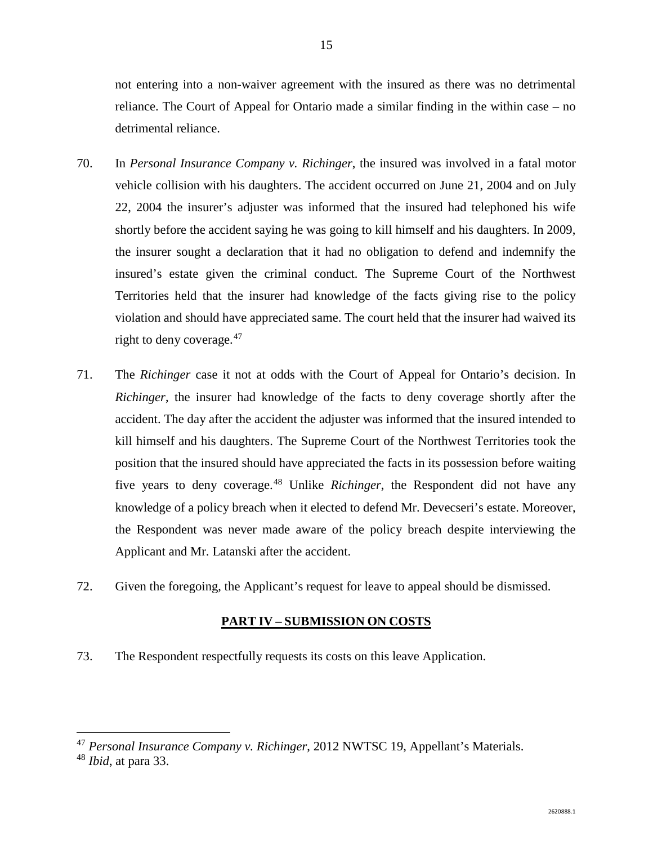not entering into a non-waiver agreement with the insured as there was no detrimental reliance. The Court of Appeal for Ontario made a similar finding in the within case – no detrimental reliance.

- 70. In *Personal Insurance Company v. Richinger*, the insured was involved in a fatal motor vehicle collision with his daughters. The accident occurred on June 21, 2004 and on July 22, 2004 the insurer's adjuster was informed that the insured had telephoned his wife shortly before the accident saying he was going to kill himself and his daughters. In 2009, the insurer sought a declaration that it had no obligation to defend and indemnify the insured's estate given the criminal conduct. The Supreme Court of the Northwest Territories held that the insurer had knowledge of the facts giving rise to the policy violation and should have appreciated same. The court held that the insurer had waived its right to deny coverage. [47](#page-16-0)
- 71. The *Richinger* case it not at odds with the Court of Appeal for Ontario's decision. In *Richinger*, the insurer had knowledge of the facts to deny coverage shortly after the accident. The day after the accident the adjuster was informed that the insured intended to kill himself and his daughters. The Supreme Court of the Northwest Territories took the position that the insured should have appreciated the facts in its possession before waiting five years to deny coverage.[48](#page-16-1) Unlike *Richinger*, the Respondent did not have any knowledge of a policy breach when it elected to defend Mr. Devecseri's estate. Moreover, the Respondent was never made aware of the policy breach despite interviewing the Applicant and Mr. Latanski after the accident.
- 72. Given the foregoing, the Applicant's request for leave to appeal should be dismissed.

#### **PART IV – SUBMISSION ON COSTS**

73. The Respondent respectfully requests its costs on this leave Application.

<span id="page-16-0"></span> <sup>47</sup> *Personal Insurance Company v. Richinger*, 2012 NWTSC 19, Appellant's Materials.

<span id="page-16-1"></span><sup>48</sup> *Ibid*, at para 33.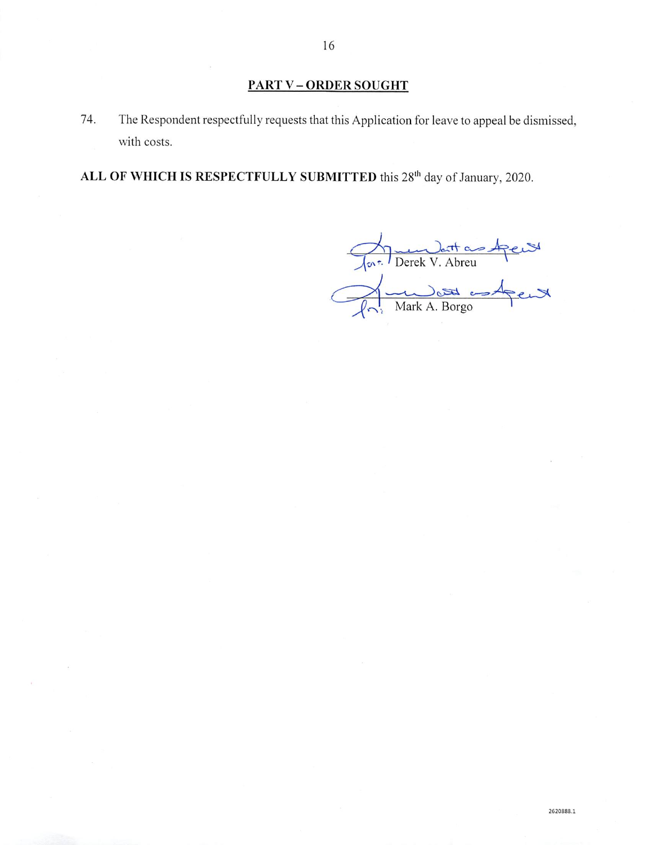## **PART V-ORDER SOUGHT**

74. The Respondent respectfully requests that this Application for leave to appeal be dismissed, with costs.

ALL OF WHICH IS RESPECTFULLY SUBMITTED this 28<sup>th</sup> day of January, 2020.

fort Derek V. Abreu<br>Primark A. Borgo